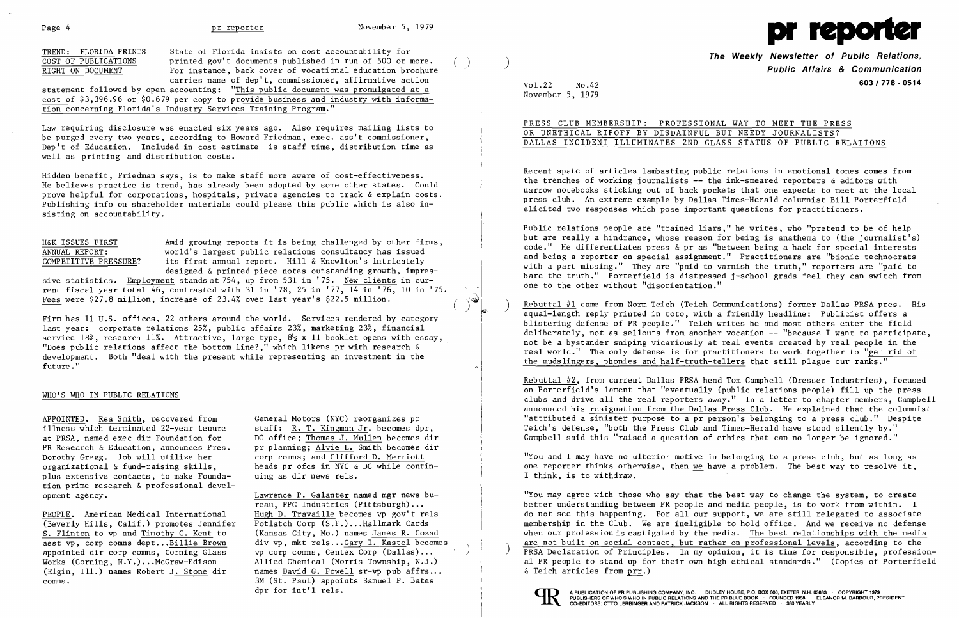TREND: FLORIDA PRINTS State of Florida insists on cost accountability for<br>
COST OF PUBLICATIONS printed gov't documents published in run of 500 or more. RIGHT ON DOCUMENT For instance, back cover of vocational education brochure carries name of dep't, commissioner, affirmative action

statement followed by open accounting: "This public document was promulgated at a cost of \$3,396.96 or \$0.679 per copy to provide business and industry with information concerning Florida's Industry Services Training Program."

Law requiring disclosure was enacted six years ago. Also requires mailing lists to be purged every two years, according to Howard Friedman, exec. ass't commissioner, Dep't of Education. Included in cost estimate is staff time, distribution time as well as printing and distribution costs.

H&K ISSUES FIRST Amid growing reports it is being challenged by other firms,<br>ANNUAL REPORT: world's largest public relations consultancy has issued ANNUAL REPORT: world's largest public relations consultancy has issued<br>COMPETITIVE PRESSURE? its first annual report. Hill & Knowlton's intricately its first annual report. Hill & Knowlton's intricately designed & printed piece notes outstanding growth, impres-

sive statistics. Employment stands at 754, up from 531 in '75. New clients in current fiscal year total 46, contrasted with 31 in '78, 25 in '77, 14 in '76, 10 in '75.<br>Fees were \$27.8 million, increase of 23.4% over last year's \$22.5 million. Fees were  $$27.8$  million, increase of  $23.4%$  over last year's  $$22.5$  million.

Hidden benefit, Friedman says, is to make staff more aware of cost-effectiveness. He believes practice is trend, has already been adopted by some other states. Could prove helpful for corporations, hospitals, private agencies to track & explain costs. Publishing info on shareholder materials could please this public which is also in sisting on accountability.

PEOPLE. American Medical International Hugh D. Travaille becomes vp gov't rels<br>(Beverly Hills. Calif.) promotes Jennifer Potlatch Corp (S.F.)...Hallmark Cards (Beverly Hills, Calif.) promotes Jennifer<br>S. Flinton to vp and Timothy C. Kent to appointed dir corp comns, Corning Glass vp corp comns, Centex Corp (Dallas) ... ) Works (Corning, N.Y.)...McGraw-Edison allied Chemical (Morris Township, N.J.)<br>(Elgin, Ill.) names Robert J. Stone dir ames David G. Powell sr-vp pub affrs... comns. 3M (St. Paul) appoints Samuel P. Bates

DC office; Thomas J. Mullen becomes dir heads pr ofcs in NYC & DC while contin-<br>uing as dir news rels.

reau, PPG Industries (Pittsburgh)... (Kansas City, Mo.) names James R. Cozad asst vp, corp comns dept...Billie Brown div vp, mkt rels...Gary I. Kastel becomes names David G. Powell sr-vp pub affrs... dpr for int'l rels.  $\blacksquare$  relsted that the set of the set of the set of the publication of PR PUBLISHING COMPANY, INC. DUDLEY HOUSE, P.O. BOX 600, EXETER, N.H. 03833 . COPYRIGHT 1979

Firm has 11 U.S. offices, 22 others around the world. Services rendered by category last year: corporate relations 25%, public affairs 23%, marketing 23%, financial service 18%, research 11%. Attractive, large type,  $8\frac{1}{2}$  x 11 booklet opens with essay, "Does public relations affect the bottom line?," which likens pr with research & development. Both "deal with the present while representing an investment in the future."

## WHO'S WHO IN PUBLIC RELATIONS

APPOINTED. Rea Smith, recovered from General Motors (NYC) reorganizes pr illness which terminated 22-year tenure staff: <u>R. T. Kingman Jr</u>. becomes dpr,<br>at PRSA, named exec dir Foundation for DC office; Thomas J. Mullen becomes di PR Research & Education, announces Pres. pr planning; Alvie L. Smith becomes dir Dorothy Gregg. Job will utilize her corp comns; and Clifford D. Merriott organizational & fund-raising skills, heads pr ofcs in NYC & DC while conti plus extensive contacts, to make Foundation prime research & professional development agency. Lawrence P. Galanter named mgr news buRebuttal #1 came from Norm Teich (Teich Communications) former Dallas PRSA pres. His equal-length reply printed in toto, with a friendly headline: Publicist offers a blistering defense of PR people." Teich writes he and most others enter the field deliberately, not as sellouts from another vocation **--** "because I want to participate, not be a bystander sniping vicariously at real events created by real people in the real world." The only defense is for practitioners to work together to "get rid of the mudslingers, phonies and half-truth-tellers that still plague our ranks."

"You may agree with those who say that the best way to change the system, to create better understanding between PR people and media people, is to work from within. I do not see this happening. For all our support, we are still relegated to associate membership in the Club. We are ineligible to hold office. And we receive no defense when our profession is castigated by the media. The best relationships with the media are not built on social contact, but rather on professional levels, according to the <br>
PRSA Declaration of Principles. In my opinion, it is time for responsible, professional PR people to stand up for their own high ethical standards." (Copies of Porterfield  $\&$  Teich articles from prr.)





**The Weekly Newsletter of Public Relations,** ) **Public Affairs & Communication**  Vol. **603/778·0514** 22 No.42

| NAL WAY TO MEET THE PRESS       |                        |  |  |  |  |
|---------------------------------|------------------------|--|--|--|--|
|                                 | BUT NEEDY JOURNALISTS? |  |  |  |  |
| LASS STATUS OF PUBLIC RELATIONS |                        |  |  |  |  |

November 5, 1979

PRESS CLUB MEMBERSHIP: PROFESSIO OR UNETHICAL RIPOFF BY DISDAINFUL DALLAS INCIDENT ILLUMINATES 2ND C

Recent spate of articles lambasting public relations in emotional tones comes from the trenches of working journalists  $-$ - the ink-smeared reporters  $\&$  editors with narrow notebooks sticking out of back pockets that one expects to meet at the local press club. An extreme example by Dallas Times-Herald columnist Bill Porterfield elicited two responses which pose important questions for practitioners.

Public relations people are "trained liars," he writes, who "pretend to be of help but are really a hindrance, whose reason for being is anathema to (the journalist's) code." He differentiates press & pr as "between being a hack for special interests and being a reporter on special assignment." Practitioners are "bionic technocrats with a part missing." They are "paid to varnish the truth," reporters are "paid to bare the truth." Porterfield is distressed j-school grads feel they can switch from one to the other without "disorientation."

Rebuttal #2, from current Dallas PRSA head Tom Campbell (Dresser Industries), focused on Porterfield's lament that "eventually (public relations people) fill up the press clubs and drive all the real reporters away." In a letter to chapter members, Campbell announced his resignation from the Dallas Press Club. He explained that the columnist "attributed a sinister purpose to a pr person's belonging to a press club." Despite Teich's defense, "both the Press Club and Times-Herald have stood silently by." Campbell said this "raised a question of ethics that can no longer be ignored."

"You and I may have no ulterior motive in belonging to a press club, but as long as one reporter thinks otherwise, then we have a problem. The best way to resolve it, I think, is to withdraw.